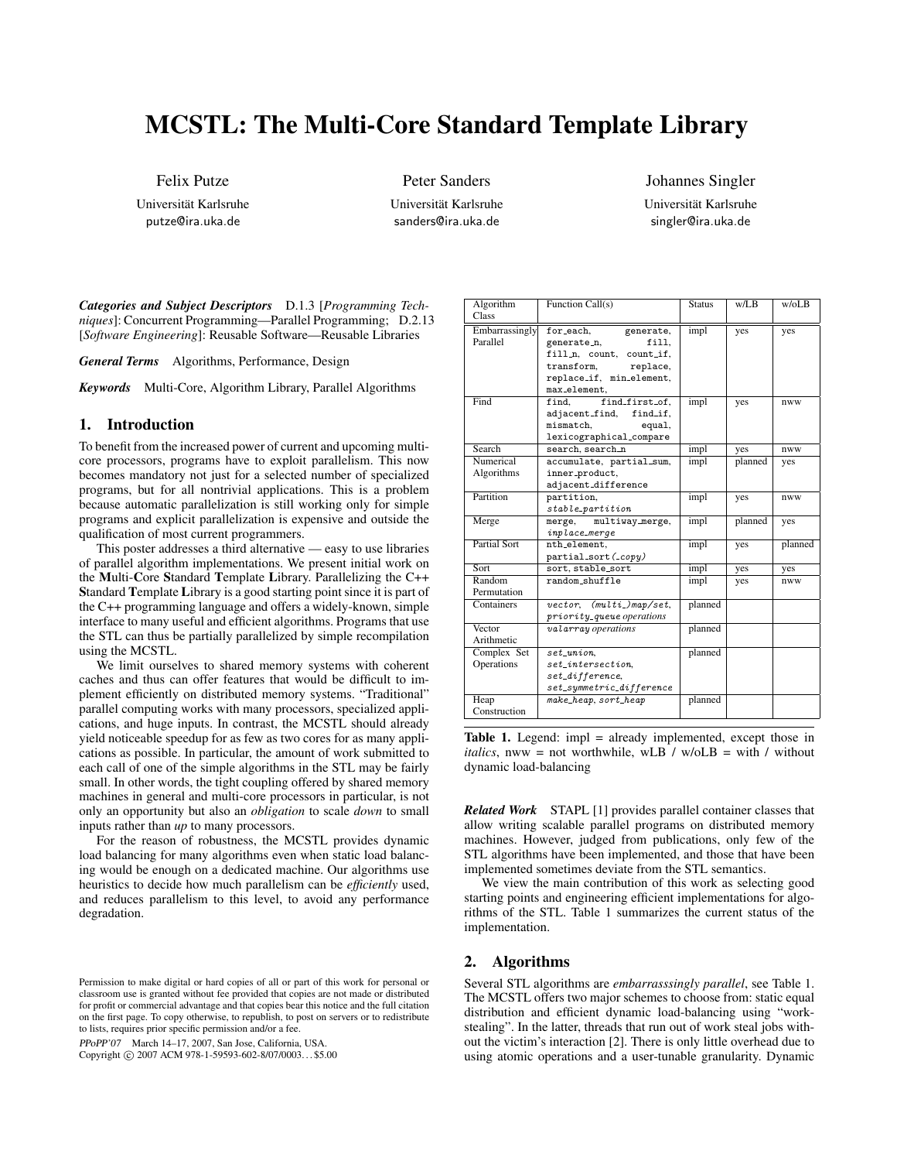# MCSTL: The Multi-Core Standard Template Library

Felix Putze

Universität Karlsruhe putze@ira.uka.de

Peter Sanders

Universität Karlsruhe sanders@ira.uka.de

Johannes Singler Universität Karlsruhe singler@ira.uka.de

*Categories and Subject Descriptors* D.1.3 [*Programming Techniques*]: Concurrent Programming—Parallel Programming; D.2.13 [*Software Engineering*]: Reusable Software—Reusable Libraries

*General Terms* Algorithms, Performance, Design

*Keywords* Multi-Core, Algorithm Library, Parallel Algorithms

#### 1. Introduction

To benefit from the increased power of current and upcoming multicore processors, programs have to exploit parallelism. This now becomes mandatory not just for a selected number of specialized programs, but for all nontrivial applications. This is a problem because automatic parallelization is still working only for simple programs and explicit parallelization is expensive and outside the qualification of most current programmers.

This poster addresses a third alternative — easy to use libraries of parallel algorithm implementations. We present initial work on the Multi-Core Standard Template Library. Parallelizing the C++ Standard Template Library is a good starting point since it is part of the C++ programming language and offers a widely-known, simple interface to many useful and efficient algorithms. Programs that use the STL can thus be partially parallelized by simple recompilation using the MCSTL.

We limit ourselves to shared memory systems with coherent caches and thus can offer features that would be difficult to implement efficiently on distributed memory systems. "Traditional" parallel computing works with many processors, specialized applications, and huge inputs. In contrast, the MCSTL should already yield noticeable speedup for as few as two cores for as many applications as possible. In particular, the amount of work submitted to each call of one of the simple algorithms in the STL may be fairly small. In other words, the tight coupling offered by shared memory machines in general and multi-core processors in particular, is not only an opportunity but also an *obligation* to scale *down* to small inputs rather than *up* to many processors.

For the reason of robustness, the MCSTL provides dynamic load balancing for many algorithms even when static load balancing would be enough on a dedicated machine. Our algorithms use heuristics to decide how much parallelism can be *efficiently* used, and reduces parallelism to this level, to avoid any performance degradation.

PPoPP'07 March 14–17, 2007, San Jose, California, USA.

Copyright © 2007 ACM 978-1-59593-602-8/07/0003... \$5.00

| Algorithm<br>Class  | Function Call(s)                             | <b>Status</b> | w/LB    | $w/o$ LB |
|---------------------|----------------------------------------------|---------------|---------|----------|
|                     |                                              |               |         |          |
| Embarrassingly      | for_each.<br>generate,                       | impl          | yes     | yes      |
| Parallel            | generate_n,<br>fill.                         |               |         |          |
|                     | fill_n, count, count_if,                     |               |         |          |
|                     | transform.<br>replace,                       |               |         |          |
|                     | replace_if, min_element,                     |               |         |          |
|                     | max_element,                                 |               |         |          |
| Find                | find_first_of,<br>find.                      | impl          | yes     | nww      |
|                     | adjacent_find, find_if,                      |               |         |          |
|                     | mismatch.<br>equal,                          |               |         |          |
|                     | lexicographical_compare                      |               |         |          |
| Search              | search, search_n                             | impl          | yes     | nww      |
| Numerical           | accumulate, partial_sum,                     | impl          | planned | yes      |
| Algorithms          | inner_product,                               |               |         |          |
|                     | adjacent_difference                          |               |         |          |
| Partition           | partition,                                   | impl          | yes     | nww      |
|                     | $stable$ <i>partition</i>                    |               |         |          |
| Merge               | merge, multiway_merge,                       | impl          | planned | yes      |
|                     | inplace_merge                                |               |         |          |
| <b>Partial Sort</b> | nth_element,                                 | impl          | yes     | planned  |
|                     | partial_sort(_copy)                          |               |         |          |
| Sort                | sort, stable_sort                            | impl          | yes     | yes      |
| Random              | random_shuffle                               | impl          | yes     | nww      |
| Permutation         |                                              |               |         |          |
| Containers          | $vector,$ ( $multi$ )map/set,                | planned       |         |          |
|                     | $priority$ <sub>-</sub> $queue$ operations   |               |         |          |
| Vector              | valarray operations                          | planned       |         |          |
| Arithmetic          |                                              |               |         |          |
| Complex Set         | $set\_union$                                 | planned       |         |          |
| Operations          | set_intersection,                            |               |         |          |
|                     | set_difference,                              |               |         |          |
|                     | set_symmetric_difference                     |               |         |          |
| Heap                | $\overline{\textit{make\_heap}}$ , sort_heap | planned       |         |          |
| Construction        |                                              |               |         |          |

Table 1. Legend: impl = already implemented, except those in *italics*, nww = not worthwhile, wLB / w/oLB = with / without dynamic load-balancing

*Related Work* STAPL [1] provides parallel container classes that allow writing scalable parallel programs on distributed memory machines. However, judged from publications, only few of the STL algorithms have been implemented, and those that have been implemented sometimes deviate from the STL semantics.

We view the main contribution of this work as selecting good starting points and engineering efficient implementations for algorithms of the STL. Table 1 summarizes the current status of the implementation.

#### 2. Algorithms

Several STL algorithms are *embarrasssingly parallel*, see Table 1. The MCSTL offers two major schemes to choose from: static equal distribution and efficient dynamic load-balancing using "workstealing". In the latter, threads that run out of work steal jobs without the victim's interaction [2]. There is only little overhead due to using atomic operations and a user-tunable granularity. Dynamic

Permission to make digital or hard copies of all or part of this work for personal or classroom use is granted without fee provided that copies are not made or distributed for profit or commercial advantage and that copies bear this notice and the full citation on the first page. To copy otherwise, to republish, to post on servers or to redistribute to lists, requires prior specific permission and/or a fee.